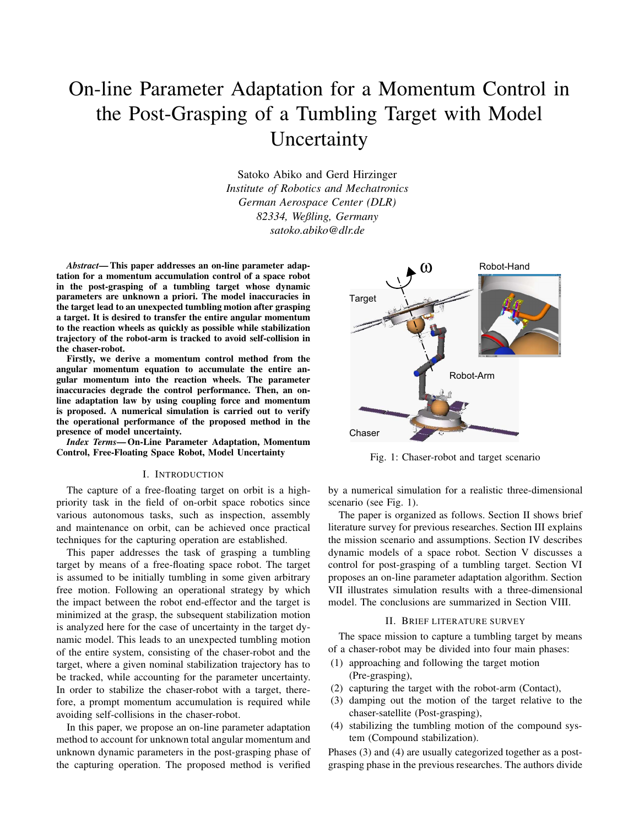# On-line Parameter Adaptation for a Momentum Control in the Post-Grasping of a Tumbling Target with Model Uncertainty

Satoko Abiko and Gerd Hirzinger *Institute of Robotics and Mechatronics German Aerospace Center (DLR) 82334, Weßling, Germany satoko.abiko@dlr.de*

*Abstract*— This paper addresses an on-line parameter adaptation for a momentum accumulation control of a space robot in the post-grasping of a tumbling target whose dynamic parameters are unknown a priori. The model inaccuracies in the target lead to an unexpected tumbling motion after grasping a target. It is desired to transfer the entire angular momentum to the reaction wheels as quickly as possible while stabilization trajectory of the robot-arm is tracked to avoid self-collision in the chaser-robot.

Firstly, we derive a momentum control method from the angular momentum equation to accumulate the entire angular momentum into the reaction wheels. The parameter inaccuracies degrade the control performance. Then, an online adaptation law by using coupling force and momentum is proposed. A numerical simulation is carried out to verify the operational performance of the proposed method in the presence of model uncertainty.

*Index Terms*— On-Line Parameter Adaptation, Momentum Control, Free-Floating Space Robot, Model Uncertainty

#### I. INTRODUCTION

The capture of a free-floating target on orbit is a highpriority task in the field of on-orbit space robotics since various autonomous tasks, such as inspection, assembly and maintenance on orbit, can be achieved once practical techniques for the capturing operation are established.

This paper addresses the task of grasping a tumbling target by means of a free-floating space robot. The target is assumed to be initially tumbling in some given arbitrary free motion. Following an operational strategy by which the impact between the robot end-effector and the target is minimized at the grasp, the subsequent stabilization motion is analyzed here for the case of uncertainty in the target dynamic model. This leads to an unexpected tumbling motion of the entire system, consisting of the chaser-robot and the target, where a given nominal stabilization trajectory has to be tracked, while accounting for the parameter uncertainty. In order to stabilize the chaser-robot with a target, therefore, a prompt momentum accumulation is required while avoiding self-collisions in the chaser-robot.

In this paper, we propose an on-line parameter adaptation method to account for unknown total angular momentum and unknown dynamic parameters in the post-grasping phase of the capturing operation. The proposed method is verified



Fig. 1: Chaser-robot and target scenario

by a numerical simulation for a realistic three-dimensional scenario (see Fig. 1).

The paper is organized as follows. Section II shows brief literature survey for previous researches. Section III explains the mission scenario and assumptions. Section IV describes dynamic models of a space robot. Section V discusses a control for post-grasping of a tumbling target. Section VI proposes an on-line parameter adaptation algorithm. Section VII illustrates simulation results with a three-dimensional model. The conclusions are summarized in Section VIII.

# II. BRIEF LITERATURE SURVEY

The space mission to capture a tumbling target by means of a chaser-robot may be divided into four main phases:

- (1) approaching and following the target motion (Pre-grasping),
- (2) capturing the target with the robot-arm (Contact),
- (3) damping out the motion of the target relative to the chaser-satellite (Post-grasping),
- (4) stabilizing the tumbling motion of the compound system (Compound stabilization).

Phases (3) and (4) are usually categorized together as a postgrasping phase in the previous researches. The authors divide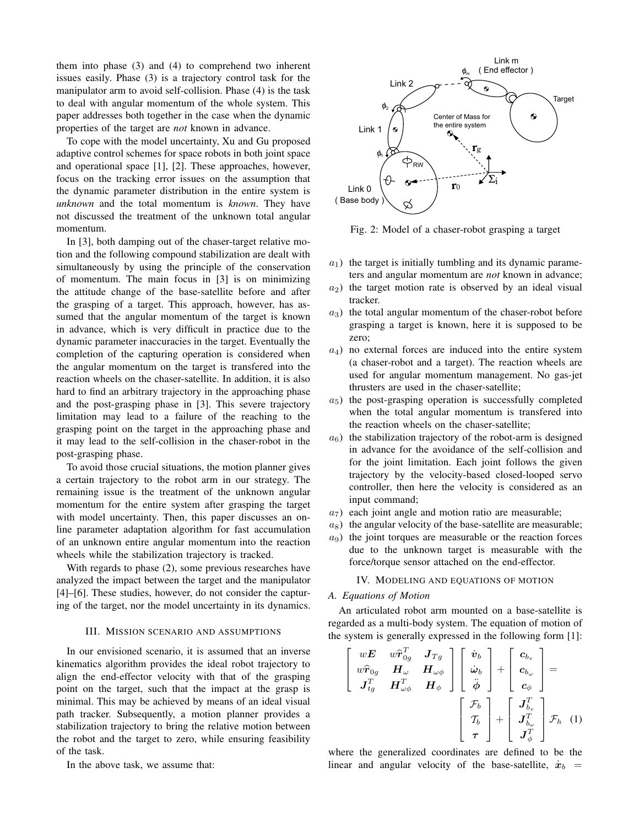them into phase (3) and (4) to comprehend two inherent issues easily. Phase (3) is a trajectory control task for the manipulator arm to avoid self-collision. Phase (4) is the task to deal with angular momentum of the whole system. This paper addresses both together in the case when the dynamic properties of the target are *not* known in advance.

To cope with the model uncertainty, Xu and Gu proposed adaptive control schemes for space robots in both joint space and operational space [1], [2]. These approaches, however, focus on the tracking error issues on the assumption that the dynamic parameter distribution in the entire system is *unknown* and the total momentum is *known*. They have not discussed the treatment of the unknown total angular momentum.

In [3], both damping out of the chaser-target relative motion and the following compound stabilization are dealt with simultaneously by using the principle of the conservation of momentum. The main focus in [3] is on minimizing the attitude change of the base-satellite before and after the grasping of a target. This approach, however, has assumed that the angular momentum of the target is known in advance, which is very difficult in practice due to the dynamic parameter inaccuracies in the target. Eventually the completion of the capturing operation is considered when the angular momentum on the target is transfered into the reaction wheels on the chaser-satellite. In addition, it is also hard to find an arbitrary trajectory in the approaching phase and the post-grasping phase in [3]. This severe trajectory limitation may lead to a failure of the reaching to the grasping point on the target in the approaching phase and it may lead to the self-collision in the chaser-robot in the post-grasping phase.

To avoid those crucial situations, the motion planner gives a certain trajectory to the robot arm in our strategy. The remaining issue is the treatment of the unknown angular momentum for the entire system after grasping the target with model uncertainty. Then, this paper discusses an online parameter adaptation algorithm for fast accumulation of an unknown entire angular momentum into the reaction wheels while the stabilization trajectory is tracked.

With regards to phase (2), some previous researches have analyzed the impact between the target and the manipulator [4]–[6]. These studies, however, do not consider the capturing of the target, nor the model uncertainty in its dynamics.

## III. MISSION SCENARIO AND ASSUMPTIONS

In our envisioned scenario, it is assumed that an inverse kinematics algorithm provides the ideal robot trajectory to align the end-effector velocity with that of the grasping point on the target, such that the impact at the grasp is minimal. This may be achieved by means of an ideal visual path tracker. Subsequently, a motion planner provides a stabilization trajectory to bring the relative motion between the robot and the target to zero, while ensuring feasibility of the task.

In the above task, we assume that:



Fig. 2: Model of a chaser-robot grasping a target

- $a_1$ ) the target is initially tumbling and its dynamic parameters and angular momentum are *not* known in advance;
- $a_2$ ) the target motion rate is observed by an ideal visual tracker.
- *a*3) the total angular momentum of the chaser-robot before grasping a target is known, here it is supposed to be zero;
- *a*4) no external forces are induced into the entire system (a chaser-robot and a target). The reaction wheels are used for angular momentum management. No gas-jet thrusters are used in the chaser-satellite;
- $a<sub>5</sub>$ ) the post-grasping operation is successfully completed when the total angular momentum is transfered into the reaction wheels on the chaser-satellite;
- $a<sub>6</sub>$ ) the stabilization trajectory of the robot-arm is designed in advance for the avoidance of the self-collision and for the joint limitation. Each joint follows the given trajectory by the velocity-based closed-looped servo controller, then here the velocity is considered as an input command;
- *a*7) each joint angle and motion ratio are measurable;
- $a_8$ ) the angular velocity of the base-satellite are measurable;
- $a<sub>9</sub>$ ) the joint torques are measurable or the reaction forces due to the unknown target is measurable with the force/torque sensor attached on the end-effector.

# IV. MODELING AND EQUATIONS OF MOTION

# *A. Equations of Motion*

An articulated robot arm mounted on a base-satellite is regarded as a multi-body system. The equation of motion of the system is generally expressed in the following form [1]:

$$
\left[\begin{array}{cc} w\boldsymbol{E} & w\widehat{\boldsymbol{r}}_{0g}^T & \boldsymbol{J}_{Tg} \\ w\widehat{\boldsymbol{r}}_{0g} & \boldsymbol{H}_{\omega} & \boldsymbol{H}_{\omega\phi} \\ \boldsymbol{J}_{tg}^T & \boldsymbol{H}_{\omega\phi}^T & \boldsymbol{H}_{\phi} \end{array}\right] \left[\begin{array}{c} \dot{\boldsymbol{v}}_b \\ \dot{\boldsymbol{\omega}}_b \\ \ddot{\phi} \end{array}\right] + \left[\begin{array}{c} \boldsymbol{c}_{b_v} \\ \boldsymbol{c}_{b_\omega} \\ \boldsymbol{c}_{\phi} \end{array}\right] = \\\left[\begin{array}{c} \mathcal{F}_b \\ \boldsymbol{T}_b \\ \boldsymbol{\tau} \end{array}\right] + \left[\begin{array}{c} \boldsymbol{J}_{b_v}^T \\ \boldsymbol{J}_{b_v}^T \\ \boldsymbol{J}_{\phi}^T \end{array}\right] \mathcal{F}_h \ \ \, (1)
$$

where the generalized coordinates are defined to be the linear and angular velocity of the base-satellite,  $\dot{x}_b$  =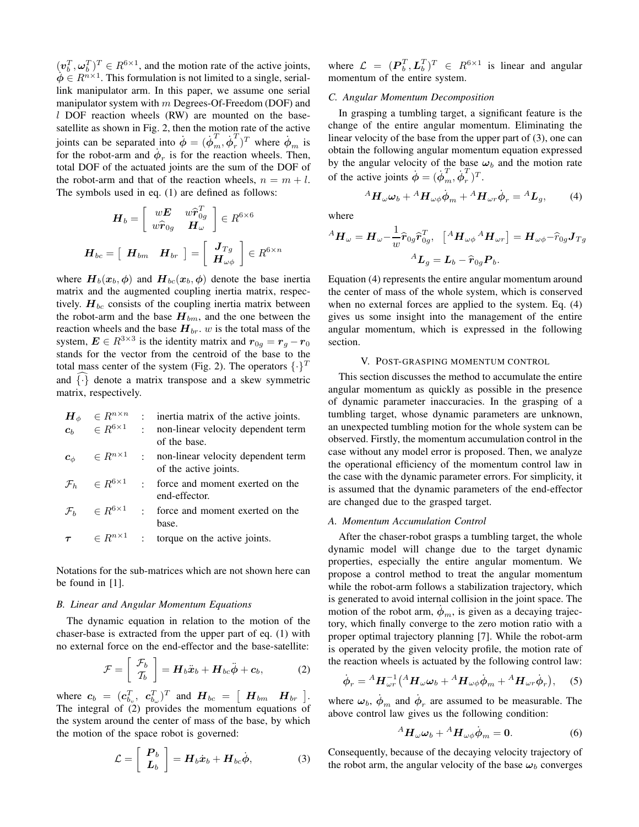$(\boldsymbol{v}_b^T, \boldsymbol{\omega}_b^T)^T \in R^{6 \times 1}$ , and the motion rate of the active joints,  $\phi \in R^{n \times 1}$ . This formulation is not limited to a single, seriallink manipulator arm. In this paper, we assume one serial manipulator system with *m* Degrees-Of-Freedom (DOF) and *l* DOF reaction wheels (RW) are mounted on the basesatellite as shown in Fig. 2, then the motion rate of the active joints can be separated into  $\dot{\phi} = (\dot{\phi}_m^T, \dot{\phi}_r^T)^T$  where  $\dot{\phi}_m$  is for the robot-arm and  $\phi_r$  is for the reaction wheels. Then, total DOF of the actuated joints are the sum of the DOF of the robot-arm and that of the reaction wheels,  $n = m + l$ . The symbols used in eq. (1) are defined as follows:

$$
\boldsymbol{H}_{b} = \left[ \begin{array}{cc} w\boldsymbol{E} & w\widehat{\boldsymbol{r}}_{0g}^{T} \\ w\widehat{\boldsymbol{r}}_{0g} & \boldsymbol{H}_{\omega} \end{array} \right] \in R^{6 \times 6}
$$
\n
$$
\boldsymbol{H}_{bc} = \left[ \begin{array}{cc} \boldsymbol{H}_{bm} & \boldsymbol{H}_{br} \end{array} \right] = \left[ \begin{array}{c} \boldsymbol{J}_{Tg} \\ \boldsymbol{H}_{\omega\phi} \end{array} \right] \in R^{6 \times n}
$$

where  $H_b(x_b, \phi)$  and  $H_{bc}(x_b, \phi)$  denote the base inertia matrix and the augmented coupling inertia matrix, respectively.  $H_{bc}$  consists of the coupling inertia matrix between the robot-arm and the base  $H_{bm}$ , and the one between the reaction wheels and the base  $H_{br}$ . *w* is the total mass of the system,  $\mathbf{E} \in \mathbb{R}^{3 \times 3}$  is the identity matrix and  $\mathbf{r}_{0g} = \mathbf{r}_{g} - \mathbf{r}_{0}$ stands for the vector from the centroid of the base to the total mass center of the system (Fig. 2). The operators  $\{\cdot\}^T$ and  $\{\cdot\}$  denote a matrix transpose and a skew symmetric matrix, respectively.

| $\bm{H}_{\phi}$         | $\in R^{n\times n}$ |                           | : inertia matrix of the active joints.                        |
|-------------------------|---------------------|---------------------------|---------------------------------------------------------------|
| $c_b$                   | $\in R^{6\times 1}$ | $\mathcal{L}$             | non-linear velocity dependent term<br>of the base.            |
| $\boldsymbol{c}_{\phi}$ | $\in R^{n\times 1}$ |                           | : non-linear velocity dependent term<br>of the active joints. |
| $\mathcal{F}_h$         | $\in R^{6\times 1}$ |                           | : force and moment exerted on the<br>end-effector.            |
| $\mathcal{F}_h$         | $\in R^{6\times 1}$ | $\mathcal{L}$             | force and moment exerted on the<br>base.                      |
|                         | $\in R^{n\times 1}$ | $\mathbb{R}^{\mathbb{Z}}$ | torque on the active joints.                                  |

Notations for the sub-matrices which are not shown here can be found in [1].

# *B. Linear and Angular Momentum Equations*

The dynamic equation in relation to the motion of the chaser-base is extracted from the upper part of eq. (1) with no external force on the end-effector and the base-satellite:

$$
\mathcal{F} = \left[ \begin{array}{c} \mathcal{F}_b \\ T_b \end{array} \right] = \boldsymbol{H}_b \ddot{\boldsymbol{x}}_b + \boldsymbol{H}_{bc} \ddot{\boldsymbol{\phi}} + \boldsymbol{c}_b, \tag{2}
$$

where  $c_b = (c_{b_v}^T, c_{b_\omega}^T)^T$  and  $H_{bc} = [H_{bm} \ H_{br}].$ The integral of (2) provides the momentum equations of the system around the center of mass of the base, by which the motion of the space robot is governed:

$$
\mathcal{L} = \left[ \begin{array}{c} \boldsymbol{P}_b \\ \boldsymbol{L}_b \end{array} \right] = \boldsymbol{H}_b \dot{\boldsymbol{x}}_b + \boldsymbol{H}_{bc} \dot{\boldsymbol{\phi}}, \tag{3}
$$

where  $\mathcal{L} = (\boldsymbol{P}_b^T, \boldsymbol{L}_b^T)^T \in R^{6 \times 1}$  is linear and angular momentum of the entire system.

# *C. Angular Momentum Decomposition*

In grasping a tumbling target, a significant feature is the change of the entire angular momentum. Eliminating the linear velocity of the base from the upper part of (3), one can obtain the following angular momentum equation expressed by the angular velocity of the base  $\omega_b$  and the motion rate of the active joints  $\dot{\phi} = (\dot{\phi}_m^T, \dot{\phi}_r^T)^T$ .

$$
{}^{A}H_{\omega}\omega_{b} + {}^{A}H_{\omega\phi}\dot{\phi}_{m} + {}^{A}H_{\omega r}\dot{\phi}_{r} = {}^{A}L_{g}, \qquad (4)
$$

where

$$
{}^A H_\omega = H_\omega - \frac{1}{w} \widehat{\boldsymbol{r}}_{0g} \widehat{\boldsymbol{r}}_{0g}^T, \ \ \bigl[ {}^A H_{\omega\phi} {}^A H_{\omega r} \bigr] = H_{\omega\phi} - \widehat{r}_{0g} \boldsymbol{J}_{Tg}
$$
 
$$
{}^A L_g = L_b - \widehat{\boldsymbol{r}}_{0g} \boldsymbol{P}_b.
$$

Equation (4) represents the entire angular momentum around the center of mass of the whole system, which is conserved when no external forces are applied to the system. Eq. (4) gives us some insight into the management of the entire angular momentum, which is expressed in the following section.

# V. POST-GRASPING MOMENTUM CONTROL

This section discusses the method to accumulate the entire angular momentum as quickly as possible in the presence of dynamic parameter inaccuracies. In the grasping of a tumbling target, whose dynamic parameters are unknown, an unexpected tumbling motion for the whole system can be observed. Firstly, the momentum accumulation control in the case without any model error is proposed. Then, we analyze the operational efficiency of the momentum control law in the case with the dynamic parameter errors. For simplicity, it is assumed that the dynamic parameters of the end-effector are changed due to the grasped target.

# *A. Momentum Accumulation Control*

After the chaser-robot grasps a tumbling target, the whole dynamic model will change due to the target dynamic properties, especially the entire angular momentum. We propose a control method to treat the angular momentum while the robot-arm follows a stabilization trajectory, which is generated to avoid internal collision in the joint space. The motion of the robot arm,  $\dot{\phi}_m$ , is given as a decaying trajectory, which finally converge to the zero motion ratio with a proper optimal trajectory planning [7]. While the robot-arm is operated by the given velocity profile, the motion rate of the reaction wheels is actuated by the following control law:

$$
\dot{\boldsymbol{\phi}}_r = {}^A H_{\omega r}^{-1} ({}^A H_{\omega} \boldsymbol{\omega}_b + {}^A H_{\omega \phi} \dot{\boldsymbol{\phi}}_m + {}^A H_{\omega r} \dot{\boldsymbol{\phi}}_r), \quad (5)
$$

where  $\omega_b$ ,  $\dot{\phi}_m$  and  $\dot{\phi}_r$  are assumed to be measurable. The above control law gives us the following condition:

$$
{}^{A}H_{\omega}\omega_{b} + {}^{A}H_{\omega\phi}\dot{\phi}_{m} = 0. \qquad (6)
$$

Consequently, because of the decaying velocity trajectory of the robot arm, the angular velocity of the base  $\omega_b$  converges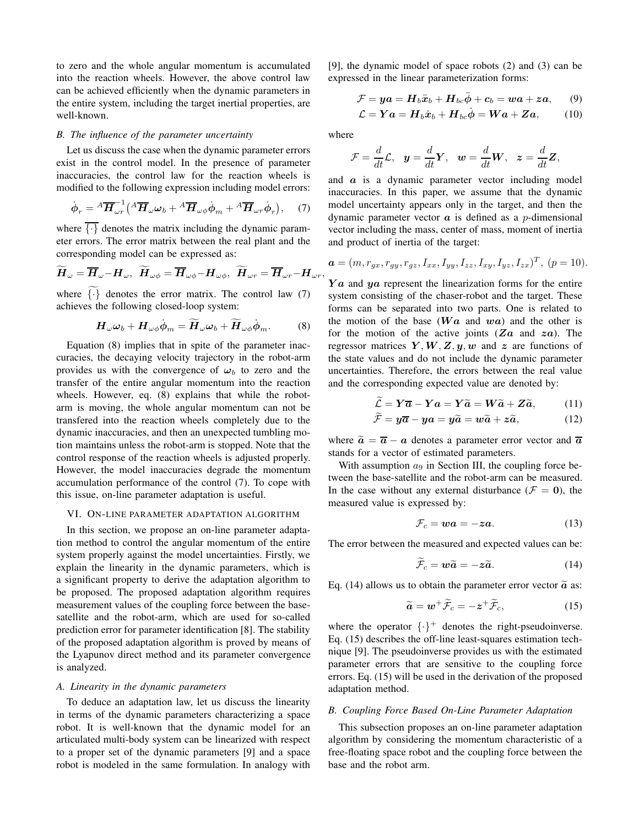to zero and the whole angular momentum is accumulated into the reaction wheels. However, the above control law can be achieved efficiently when the dynamic parameters in the entire system, including the target inertial properties, are well-known.

#### *B. The influence of the parameter uncertainty*

Let us discuss the case when the dynamic parameter errors exist in the control model. In the presence of parameter inaccuracies, the control law for the reaction wheels is modified to the following expression including model errors:

$$
\dot{\phi}_r = {}^A \overline{H}_{\omega r}^{-1} ({}^A \overline{H}_{\omega} \omega_b + {}^A \overline{H}_{\omega \phi} \dot{\phi}_m + {}^A \overline{H}_{\omega r} \dot{\phi}_r), \quad (7)
$$

where  $\{\cdot\}$  denotes the matrix including the dynamic parameter errors. The error matrix between the real plant and the corresponding model can be expressed as:

$$
\widetilde{\boldsymbol{H}}_{\omega}=\overline{\boldsymbol{H}}_{\omega}-\boldsymbol{H}_{\omega},\ \ \widetilde{\boldsymbol{H}}_{\omega\phi}=\overline{\boldsymbol{H}}_{\omega\phi}-\boldsymbol{H}_{\omega\phi},\ \ \widetilde{\boldsymbol{H}}_{\omega r}=\overline{\boldsymbol{H}}_{\omega r}-\boldsymbol{H}_{\omega r},
$$

where  $\{\cdot\}$  denotes the error matrix. The control law (7) achieves the following closed-loop system:

$$
\boldsymbol{H}_{\omega}\boldsymbol{\omega}_{b} + \boldsymbol{H}_{\omega\phi}\dot{\boldsymbol{\phi}}_{m} = \widetilde{\boldsymbol{H}}_{\omega}\boldsymbol{\omega}_{b} + \widetilde{\boldsymbol{H}}_{\omega\phi}\dot{\boldsymbol{\phi}}_{m}.
$$
 (8)

Equation (8) implies that in spite of the parameter inaccuracies, the decaying velocity trajectory in the robot-arm provides us with the convergence of  $\omega_b$  to zero and the transfer of the entire angular momentum into the reaction wheels. However, eq. (8) explains that while the robotarm is moving, the whole angular momentum can not be transfered into the reaction wheels completely due to the dynamic inaccuracies, and then an unexpected tumbling motion maintains unless the robot-arm is stopped. Note that the control response of the reaction wheels is adjusted properly. However, the model inaccuracies degrade the momentum accumulation performance of the control (7). To cope with this issue, on-line parameter adaptation is useful.

#### VI. ON-LINE PARAMETER ADAPTATION ALGORITHM

In this section, we propose an on-line parameter adaptation method to control the angular momentum of the entire system properly against the model uncertainties. Firstly, we explain the linearity in the dynamic parameters, which is a significant property to derive the adaptation algorithm to be proposed. The proposed adaptation algorithm requires measurement values of the coupling force between the basesatellite and the robot-arm, which are used for so-called prediction error for parameter identification [8]. The stability of the proposed adaptation algorithm is proved by means of the Lyapunov direct method and its parameter convergence is analyzed.

#### *A. Linearity in the dynamic parameters*

To deduce an adaptation law, let us discuss the linearity in terms of the dynamic parameters characterizing a space robot. It is well-known that the dynamic model for an articulated multi-body system can be linearized with respect to a proper set of the dynamic parameters [9] and a space robot is modeled in the same formulation. In analogy with [9], the dynamic model of space robots (2) and (3) can be expressed in the linear parameterization forms:

$$
\mathcal{F} = y a = H_b \ddot{x}_b + H_{bc} \ddot{\phi} + c_b = w a + z a, \qquad (9)
$$

$$
\mathcal{L} = \mathbf{Y}a = \mathbf{H}_b \dot{\mathbf{x}}_b + \mathbf{H}_{bc} \dot{\boldsymbol{\phi}} = \mathbf{W}a + \mathbf{Z}a, \quad (10)
$$

where

$$
\mathcal{F} = \frac{d}{dt}\mathcal{L}, \quad \mathbf{y} = \frac{d}{dt}\mathbf{Y}, \quad \mathbf{w} = \frac{d}{dt}\mathbf{W}, \quad \mathbf{z} = \frac{d}{dt}\mathbf{Z},
$$

and *a* is a dynamic parameter vector including model inaccuracies. In this paper, we assume that the dynamic model uncertainty appears only in the target, and then the dynamic parameter vector *a* is defined as a *p*-dimensional vector including the mass, center of mass, moment of inertia and product of inertia of the target:

$$
\mathbf{a} = (m, r_{gx}, r_{gy}, r_{gz}, I_{xx}, I_{yy}, I_{zz}, I_{xy}, I_{yz}, I_{zx})^T, (p = 10).
$$

*Y a* and *ya* represent the linearization forms for the entire system consisting of the chaser-robot and the target. These forms can be separated into two parts. One is related to the motion of the base  $(Wa$  and  $wa)$  and the other is for the motion of the active joints (*Za* and *za*). The regressor matrices  $Y$ *,*  $W$ *,*  $Z$ *,*  $y$ *<i>, w* and  $z$  are functions of the state values and do not include the dynamic parameter uncertainties. Therefore, the errors between the real value and the corresponding expected value are denoted by:

$$
\mathcal{L} = Y\overline{a} - Ya = Y\widetilde{a} = W\widetilde{a} + Z\widetilde{a},\qquad(11)
$$

$$
\mathcal{F} = y\overline{a} - ya = y\widetilde{a} = w\widetilde{a} + z\widetilde{a},\tag{12}
$$

where  $\tilde{a} = \overline{a} - a$  denotes a parameter error vector and  $\overline{a}$ stands for a vector of estimated parameters.

With assumption  $a_9$  in Section III, the coupling force between the base-satellite and the robot-arm can be measured. In the case without any external disturbance ( $\mathcal{F} = 0$ ), the measured value is expressed by:

$$
\mathcal{F}_c = w\mathbf{a} = -z\mathbf{a}.\tag{13}
$$

The error between the measured and expected values can be:

$$
\tilde{\mathcal{F}}_c = \boldsymbol{w}\tilde{\boldsymbol{a}} = -z\tilde{\boldsymbol{a}}.\tag{14}
$$

Eq. (14) allows us to obtain the parameter error vector  $\tilde{a}$  as:

$$
\widetilde{a} = \boldsymbol{w}^+ \widetilde{\mathcal{F}}_c = -\boldsymbol{z}^+ \widetilde{\mathcal{F}}_c,\tag{15}
$$

where the operator  $\{\cdot\}^+$  denotes the right-pseudoinverse. Eq. (15) describes the off-line least-squares estimation technique [9]. The pseudoinverse provides us with the estimated parameter errors that are sensitive to the coupling force errors. Eq. (15) will be used in the derivation of the proposed adaptation method.

## *B. Coupling Force Based On-Line Parameter Adaptation*

This subsection proposes an on-line parameter adaptation algorithm by considering the momentum characteristic of a free-floating space robot and the coupling force between the base and the robot arm.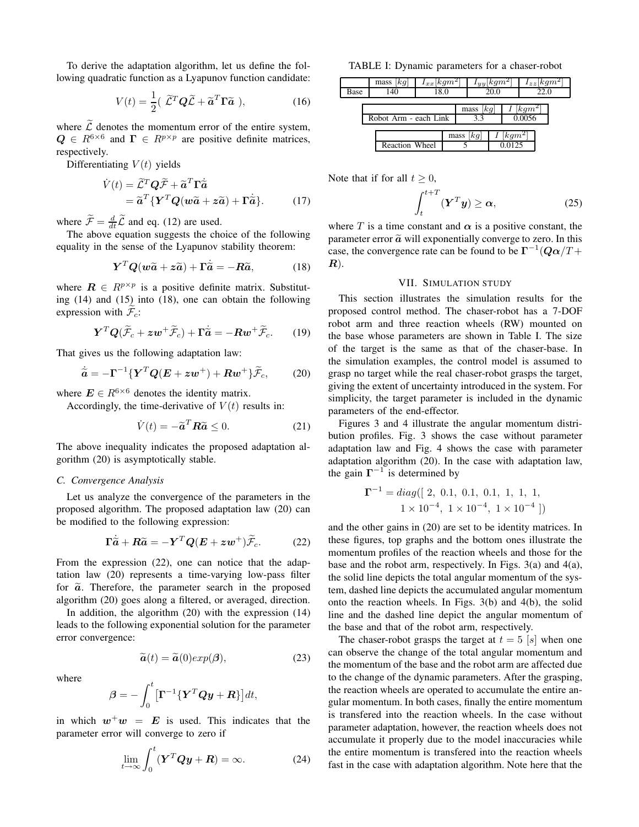To derive the adaptation algorithm, let us define the following quadratic function as a Lyapunov function candidate:

$$
V(t) = \frac{1}{2}(\tilde{\mathcal{L}}^T \mathbf{Q} \tilde{\mathcal{L}} + \tilde{\mathbf{a}}^T \mathbf{\Gamma} \tilde{\mathbf{a}}), \qquad (16)
$$

where  $\widetilde{\mathcal{L}}$  denotes the momentum error of the entire system,  $Q \in R^{6 \times 6}$  and  $\Gamma \in R^{p \times p}$  are positive definite matrices, respectively.

Differentiating  $V(t)$  yields

$$
\dot{V}(t) = \widetilde{\mathcal{L}}^T \mathbf{Q} \widetilde{\mathcal{F}} + \widetilde{\mathbf{a}}^T \mathbf{\Gamma} \dot{\widetilde{\mathbf{a}}} \n= \widetilde{\mathbf{a}}^T \{ \mathbf{Y}^T \mathbf{Q} (w \widetilde{\mathbf{a}} + z \widetilde{\mathbf{a}}) + \mathbf{\Gamma} \dot{\widetilde{\mathbf{a}}} \}.
$$
\n(17)

where  $\widetilde{\mathcal{F}} = \frac{d}{dt}\widetilde{\mathcal{L}}$  and eq. (12) are used.

The above equation suggests the choice of the following equality in the sense of the Lyapunov stability theorem:

$$
Y^{T}Q(w\widetilde{a}+z\widetilde{a})+\Gamma\dot{\widetilde{a}}=-R\widetilde{a}, \qquad (18)
$$

where  $\mathbf{R} \in R^{p \times p}$  is a positive definite matrix. Substituting (14) and (15) into (18), one can obtain the following expression with  $\mathcal{F}_c$ :

$$
\boldsymbol{Y}^T \boldsymbol{Q} (\widetilde{\mathcal{F}}_c + z \boldsymbol{w}^+ \widetilde{\mathcal{F}}_c) + \boldsymbol{\Gamma} \dot{\widetilde{\boldsymbol{a}}} = -\boldsymbol{R} \boldsymbol{w}^+ \widetilde{\mathcal{F}}_c. \qquad (19)
$$

That gives us the following adaptation law:

$$
\dot{\tilde{a}} = -\Gamma^{-1} \{ Y^T Q (E + zw^+) + R w^+ \} \tilde{\mathcal{F}}_c, \qquad (20)
$$

where  $E \in R^{6 \times 6}$  denotes the identity matrix.

Accordingly, the time-derivative of  $V(t)$  results in:

$$
\dot{V}(t) = -\tilde{a}^T R \tilde{a} \le 0. \tag{21}
$$

The above inequality indicates the proposed adaptation algorithm (20) is asymptotically stable.

## *C. Convergence Analysis*

Let us analyze the convergence of the parameters in the proposed algorithm. The proposed adaptation law (20) can be modified to the following expression:

$$
\Gamma \dot{\tilde{a}} + R \tilde{a} = -Y^T Q (E + z w^+) \tilde{\mathcal{F}}_c.
$$
 (22)

From the expression (22), one can notice that the adaptation law (20) represents a time-varying low-pass filter for  $\tilde{a}$ . Therefore, the parameter search in the proposed algorithm (20) goes along a filtered, or averaged, direction.

In addition, the algorithm  $(20)$  with the expression  $(14)$ leads to the following exponential solution for the parameter error convergence:

$$
\widetilde{\boldsymbol{a}}(t) = \widetilde{\boldsymbol{a}}(0) exp(\boldsymbol{\beta}), \tag{23}
$$

where

$$
\boldsymbol{\beta} = -\int_0^t \left[\boldsymbol{\Gamma}^{-1}\{\boldsymbol{Y}^T\boldsymbol{Q}\boldsymbol{y} + \boldsymbol{R}\}\right]dt,
$$

in which  $w^+w = E$  is used. This indicates that the parameter error will converge to zero if

$$
\lim_{t \to \infty} \int_0^t (\mathbf{Y}^T \mathbf{Q} \mathbf{y} + \mathbf{R}) = \infty.
$$
 (24)

TABLE I: Dynamic parameters for a chaser-robot

|                          | mass $[kq]$           | $I_{xx}[k\overline{gm^2}]$ |  | $I_{yy}[k\overline{gm^2}]$ |        | $I_{zz}[kgm^2]$ |  |
|--------------------------|-----------------------|----------------------------|--|----------------------------|--------|-----------------|--|
| Base                     |                       | 18.0                       |  |                            |        |                 |  |
|                          |                       | mass $ kq $                |  | $[kqm^2]$                  |        |                 |  |
|                          | Robot Arm - each Link |                            |  | 33                         |        | 0.0056          |  |
| $[kgm^2]$<br>mass $ kq $ |                       |                            |  |                            |        |                 |  |
|                          | Reaction Wheel        |                            |  |                            | 0.0125 |                 |  |

Note that if for all  $t \geq 0$ ,

$$
\int_{t}^{t+T} (\boldsymbol{Y}^{T}\boldsymbol{y}) \geq \alpha, \tag{25}
$$

where *T* is a time constant and  $\alpha$  is a positive constant, the parameter error  $\tilde{a}$  will exponentially converge to zero. In this case, the convergence rate can be found to be  $\Gamma^{-1}(Q\alpha/T)$ *R*).

# VII. SIMULATION STUDY

This section illustrates the simulation results for the proposed control method. The chaser-robot has a 7-DOF robot arm and three reaction wheels (RW) mounted on the base whose parameters are shown in Table I. The size of the target is the same as that of the chaser-base. In the simulation examples, the control model is assumed to grasp no target while the real chaser-robot grasps the target, giving the extent of uncertainty introduced in the system. For simplicity, the target parameter is included in the dynamic parameters of the end-effector.

Figures 3 and 4 illustrate the angular momentum distribution profiles. Fig. 3 shows the case without parameter adaptation law and Fig. 4 shows the case with parameter adaptation algorithm (20). In the case with adaptation law, the gain  $\Gamma^{-1}$  is determined by

$$
\Gamma^{-1} = diag([2, 0.1, 0.1, 0.1, 1, 1, 1, 1, 1, 1 \times 10^{-4}, 1 \times 10^{-4}, 1 \times 10^{-4}])
$$

and the other gains in (20) are set to be identity matrices. In these figures, top graphs and the bottom ones illustrate the momentum profiles of the reaction wheels and those for the base and the robot arm, respectively. In Figs. 3(a) and 4(a), the solid line depicts the total angular momentum of the system, dashed line depicts the accumulated angular momentum onto the reaction wheels. In Figs. 3(b) and 4(b), the solid line and the dashed line depict the angular momentum of the base and that of the robot arm, respectively.

The chaser-robot grasps the target at  $t = 5$  [*s*] when one can observe the change of the total angular momentum and the momentum of the base and the robot arm are affected due to the change of the dynamic parameters. After the grasping, the reaction wheels are operated to accumulate the entire angular momentum. In both cases, finally the entire momentum is transfered into the reaction wheels. In the case without parameter adaptation, however, the reaction wheels does not accumulate it properly due to the model inaccuracies while the entire momentum is transfered into the reaction wheels fast in the case with adaptation algorithm. Note here that the